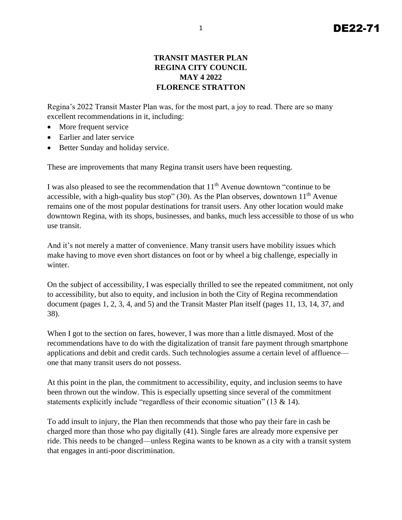## **TRANSIT MASTER PLAN REGINA CITY COUNCIL MAY 4 2022 FLORENCE STRATTON**

Regina's 2022 Transit Master Plan was, for the most part, a joy to read. There are so many excellent recommendations in it, including:

- More frequent service
- Earlier and later service
- Better Sunday and holiday service.

These are improvements that many Regina transit users have been requesting.

I was also pleased to see the recommendation that 11<sup>th</sup> Avenue downtown "continue to be accessible, with a high-quality bus stop" (30). As the Plan observes, downtown  $11<sup>th</sup>$  Avenue remains one of the most popular destinations for transit users. Any other location would make downtown Regina, with its shops, businesses, and banks, much less accessible to those of us who use transit.

And it's not merely a matter of convenience. Many transit users have mobility issues which make having to move even short distances on foot or by wheel a big challenge, especially in winter.

On the subject of accessibility, I was especially thrilled to see the repeated commitment, not only to accessibility, but also to equity, and inclusion in both the City of Regina recommendation document (pages 1, 2, 3, 4, and 5) and the Transit Master Plan itself (pages 11, 13, 14, 37, and 38).

When I got to the section on fares, however, I was more than a little dismayed. Most of the recommendations have to do with the digitalization of transit fare payment through smartphone applications and debit and credit cards. Such technologies assume a certain level of affluence one that many transit users do not possess.

At this point in the plan, the commitment to accessibility, equity, and inclusion seems to have been thrown out the window. This is especially upsetting since several of the commitment statements explicitly include "regardless of their economic situation" (13  $\&$  14).

To add insult to injury, the Plan then recommends that those who pay their fare in cash be charged more than those who pay digitally (41). Single fares are already more expensive per ride. This needs to be changed—unless Regina wants to be known as a city with a transit system that engages in anti-poor discrimination.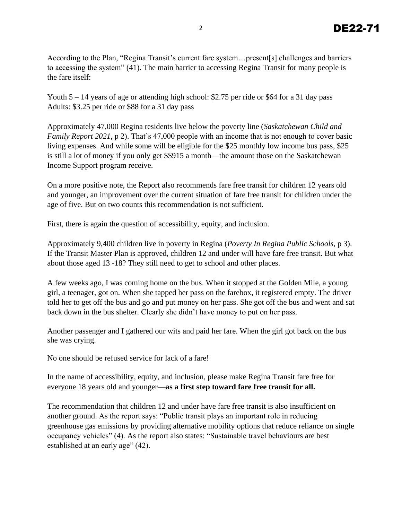According to the Plan, "Regina Transit's current fare system…present[s] challenges and barriers to accessing the system" (41). The main barrier to accessing Regina Transit for many people is the fare itself:

Youth  $5 - 14$  years of age or attending high school: \$2.75 per ride or \$64 for a 31 day pass Adults: \$3.25 per ride or \$88 for a 31 day pass

Approximately 47,000 Regina residents live below the poverty line (*Saskatchewan Child and Family Report 2021*, p 2). That's 47,000 people with an income that is not enough to cover basic living expenses. And while some will be eligible for the \$25 monthly low income bus pass, \$25 is still a lot of money if you only get \$\$915 a month—the amount those on the Saskatchewan Income Support program receive.

On a more positive note, the Report also recommends fare free transit for children 12 years old and younger, an improvement over the current situation of fare free transit for children under the age of five. But on two counts this recommendation is not sufficient.

First, there is again the question of accessibility, equity, and inclusion.

Approximately 9,400 children live in poverty in Regina (*Poverty In Regina Public Schools*, p 3). If the Transit Master Plan is approved, children 12 and under will have fare free transit. But what about those aged 13 -18? They still need to get to school and other places.

A few weeks ago, I was coming home on the bus. When it stopped at the Golden Mile, a young girl, a teenager, got on. When she tapped her pass on the farebox, it registered empty. The driver told her to get off the bus and go and put money on her pass. She got off the bus and went and sat back down in the bus shelter. Clearly she didn't have money to put on her pass.

Another passenger and I gathered our wits and paid her fare. When the girl got back on the bus she was crying.

No one should be refused service for lack of a fare!

In the name of accessibility, equity, and inclusion, please make Regina Transit fare free for everyone 18 years old and younger—**as a first step toward fare free transit for all.** 

The recommendation that children 12 and under have fare free transit is also insufficient on another ground. As the report says: "Public transit plays an important role in reducing greenhouse gas emissions by providing alternative mobility options that reduce reliance on single occupancy vehicles" (4). As the report also states: "Sustainable travel behaviours are best established at an early age" (42).